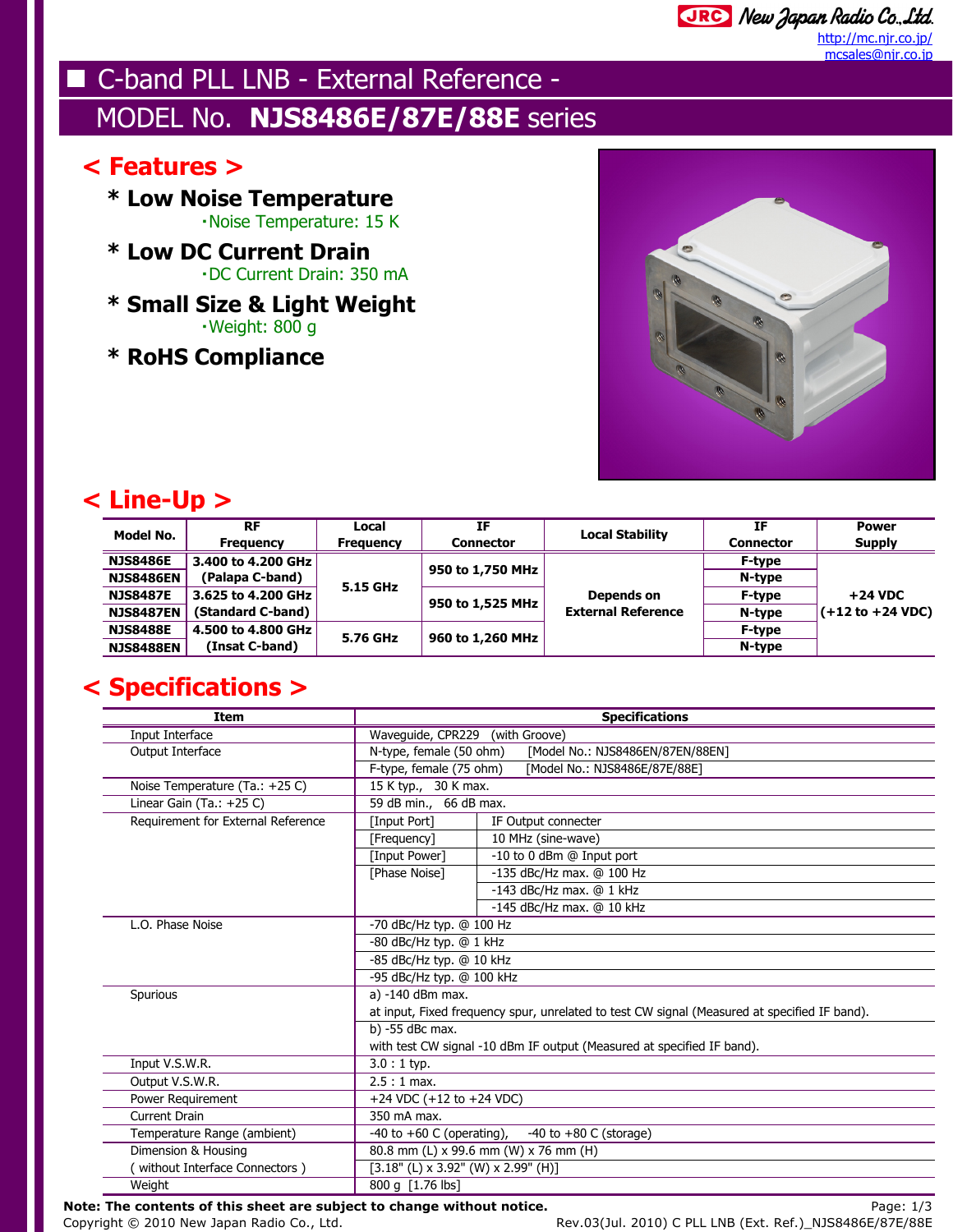## C-band PLL LNB - External Reference -MODEL No. **NJS8486E/87E/88E** series

#### **< Features >**

**\* Low Noise Temperature**・Noise Temperature: 15 K

- **\* Low DC Current Drain**・DC Current Drain: 350 mA
- **\* Small Size & Light Weight** $\cdot$ Weight: 800 g
- **\* RoHS Compliance**



### **< Line-Up >**

| <b>Model No.</b> | <b>RF</b>          | Local            | IF               | <b>Local Stability</b>                  | IF               | <b>Power</b>                      |
|------------------|--------------------|------------------|------------------|-----------------------------------------|------------------|-----------------------------------|
|                  | <b>Frequency</b>   | <b>Frequency</b> | <b>Connector</b> |                                         | <b>Connector</b> | <b>Supply</b>                     |
| <b>NJS8486E</b>  | 3.400 to 4.200 GHz | 5.15 GHz         | 950 to 1,750 MHz | Depends on<br><b>External Reference</b> | <b>F-type</b>    | $+24$ VDC<br>$( +12 to +24 VDC )$ |
| <b>NJS8486EN</b> | (Palapa C-band)    |                  |                  |                                         | N-type           |                                   |
| <b>NJS8487E</b>  | 3.625 to 4.200 GHz |                  | 950 to 1,525 MHz |                                         | <b>F-type</b>    |                                   |
| <b>NJS8487EN</b> | (Standard C-band)  |                  |                  |                                         | N-type           |                                   |
| <b>NJS8488E</b>  | 4.500 to 4.800 GHz | 5.76 GHz         | 960 to 1,260 MHz |                                         | F-type           |                                   |
| <b>NJS8488EN</b> | (Insat C-band)     |                  |                  |                                         | N-type           |                                   |

### **< Specifications >**

| <b>Item</b>                        | <b>Specifications</b>                                                                        |                               |  |  |
|------------------------------------|----------------------------------------------------------------------------------------------|-------------------------------|--|--|
| Input Interface                    | Waveguide, CPR229<br>(with Groove)                                                           |                               |  |  |
| Output Interface                   | N-type, female (50 ohm)<br>[Model No.: NJS8486EN/87EN/88EN]                                  |                               |  |  |
|                                    | F-type, female (75 ohm)                                                                      | [Model No.: NJS8486E/87E/88E] |  |  |
| Noise Temperature (Ta.: +25 C)     | 15 K typ., 30 K max.                                                                         |                               |  |  |
| Linear Gain (Ta.: $+25$ C)         | 59 dB min., 66 dB max.                                                                       |                               |  |  |
| Requirement for External Reference | [Input Port]                                                                                 | IF Output connecter           |  |  |
|                                    | [Frequency]                                                                                  | 10 MHz (sine-wave)            |  |  |
|                                    | [Input Power]                                                                                | -10 to 0 dBm @ Input port     |  |  |
|                                    | [Phase Noise]                                                                                | -135 dBc/Hz max. @ 100 Hz     |  |  |
|                                    |                                                                                              | -143 dBc/Hz max. $@1$ kHz     |  |  |
|                                    |                                                                                              | -145 dBc/Hz max. $@$ 10 kHz   |  |  |
| L.O. Phase Noise                   | -70 dBc/Hz typ. @ 100 Hz                                                                     |                               |  |  |
|                                    | -80 dBc/Hz typ. @ 1 kHz                                                                      |                               |  |  |
|                                    | -85 dBc/Hz typ. @ 10 kHz                                                                     |                               |  |  |
|                                    | -95 dBc/Hz typ. @ 100 kHz                                                                    |                               |  |  |
| Spurious                           | a) -140 dBm max.                                                                             |                               |  |  |
|                                    | at input, Fixed frequency spur, unrelated to test CW signal (Measured at specified IF band). |                               |  |  |
|                                    | b) -55 dBc max.                                                                              |                               |  |  |
|                                    | with test CW signal -10 dBm IF output (Measured at specified IF band).                       |                               |  |  |
| Input V.S.W.R.                     | $3.0:1$ typ.                                                                                 |                               |  |  |
| Output V.S.W.R.                    | $2.5:1$ max.                                                                                 |                               |  |  |
| Power Requirement                  |                                                                                              | +24 VDC $(+12$ to $+24$ VDC)  |  |  |
| Current Drain                      | 350 mA max.                                                                                  |                               |  |  |
| Temperature Range (ambient)        | -40 to $+60$ C (operating),<br>-40 to $+80$ C (storage)                                      |                               |  |  |
| Dimension & Housing                | 80.8 mm (L) x 99.6 mm (W) x 76 mm (H)                                                        |                               |  |  |
| without Interface Connectors )     | $[3.18"$ (L) x 3.92" (W) x 2.99" (H)]                                                        |                               |  |  |
| Weight                             | 800 g [1.76 lbs]                                                                             |                               |  |  |

**Note: The contents of this sheet are subject to change without notice.** Note that the contents of this sheet are subject to change without notice.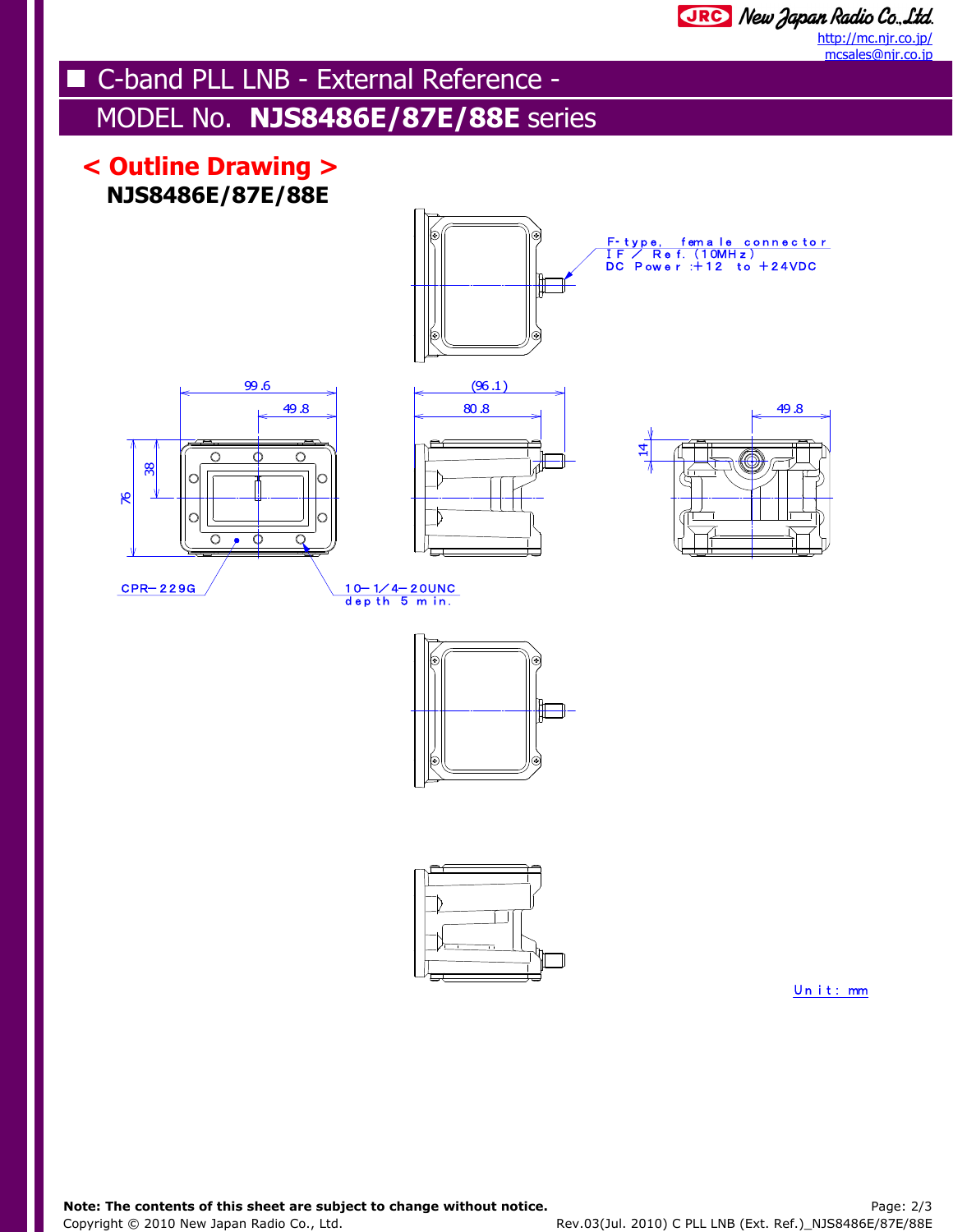# C-band PLL LNB - External Reference -

## MODEL No. **NJS8486E/87E/88E** series

### **NJS8486E/87E/88E < Outline Drawing >**















Unit: mm